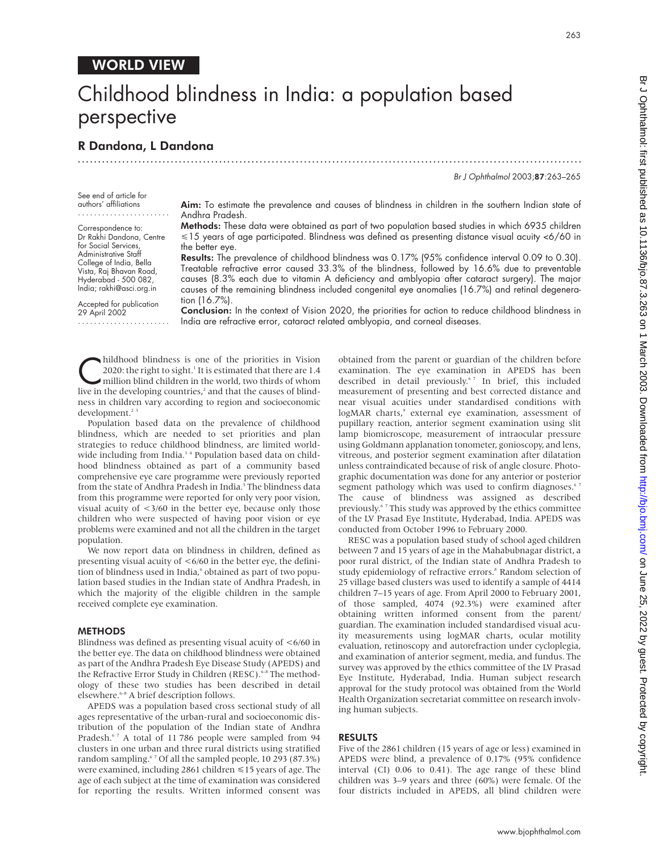# WORLD VIEW

# Childhood blindness in India: a population based perspective

.............................................................................................................................

# R Dandona, L Dandona

Br J Ophthalmol 2003;87:263–265

See end of article for authors' affiliations .......................

Correspondence to: Dr Rakhi Dandona, Centre for Social Services, Administrative Staff College of India, Bella Vista, Raj Bhavan Road, Hyderabad - 500 082, India; rakhi@asci.org.in

Aim: To estimate the prevalence and causes of blindness in children in the southern Indian state of Andhra Pradesh.

Methods: These data were obtained as part of two population based studies in which 6935 children  $\leq$  15 years of age participated. Blindness was defined as presenting distance visual acuity <6/60 in the better eye.

Results: The prevalence of childhood blindness was 0.17% (95% confidence interval 0.09 to 0.30). Treatable refractive error caused 33.3% of the blindness, followed by 16.6% due to preventable causes (8.3% each due to vitamin A deficiency and amblyopia after cataract surgery). The major causes of the remaining blindness included congenital eye anomalies (16.7%) and retinal degeneration (16.7%).

Accepted for publication 29 April 2002 .......................

Conclusion: In the context of Vision 2020, the priorities for action to reduce childhood blindness in India are refractive error, cataract related amblyopia, and corneal diseases.

hildhood blindness is one of the priorities in Vision<br>2020: the right to sight.<sup>1</sup> It is estimated that there are 1.4<br>million blind children in the world, two thirds of whom<br>live in the developing countries <sup>2</sup> and that th 2020: the right to sight.<sup>1</sup> It is estimated that there are 1.4 million blind children in the world, two thirds of whom live in the developing countries,<sup>2</sup> and that the causes of blindness in children vary according to region and socioeconomic development.<sup>23</sup>

Population based data on the prevalence of childhood blindness, which are needed to set priorities and plan strategies to reduce childhood blindness, are limited worldwide including from India.<sup>34</sup> Population based data on childhood blindness obtained as part of a community based comprehensive eye care programme were previously reported from the state of Andhra Pradesh in India.<sup>5</sup> The blindness data from this programme were reported for only very poor vision, visual acuity of <3/60 in the better eye, because only those children who were suspected of having poor vision or eye problems were examined and not all the children in the target population.

We now report data on blindness in children, defined as presenting visual acuity of  $\lt6/60$  in the better eye, the definition of blindness used in India,<sup>6</sup> obtained as part of two population based studies in the Indian state of Andhra Pradesh, in which the majority of the eligible children in the sample received complete eye examination.

### **METHODS**

Blindness was defined as presenting visual acuity of  $\lt6/60$  in the better eye. The data on childhood blindness were obtained as part of the Andhra Pradesh Eye Disease Study (APEDS) and the Refractive Error Study in Children (RESC).<sup>6-8</sup> The methodology of these two studies has been described in detail elsewhere.<sup>6–8</sup> A brief description follows.

APEDS was a population based cross sectional study of all ages representative of the urban-rural and socioeconomic distribution of the population of the Indian state of Andhra Pradesh.<sup>67</sup> A total of 11 786 people were sampled from 94 clusters in one urban and three rural districts using stratified random sampling.<sup>67</sup> Of all the sampled people, 10 293 (87.3%) were examined, including 2861 children <15 years of age. The age of each subject at the time of examination was considered for reporting the results. Written informed consent was

obtained from the parent or guardian of the children before examination. The eye examination in APEDS has been described in detail previously.<sup>67</sup> In brief, this included measurement of presenting and best corrected distance and near visual acuities under standardised conditions with logMAR charts,<sup>9</sup> external eye examination, assessment of pupillary reaction, anterior segment examination using slit lamp biomicroscope, measurement of intraocular pressure using Goldmann applanation tonometer, gonioscopy, and lens, vitreous, and posterior segment examination after dilatation unless contraindicated because of risk of angle closure. Photographic documentation was done for any anterior or posterior segment pathology which was used to confirm diagnoses.<sup>67</sup> The cause of blindness was assigned as described previously.6 7 This study was approved by the ethics committee of the LV Prasad Eye Institute, Hyderabad, India. APEDS was conducted from October 1996 to February 2000.

RESC was a population based study of school aged children between 7 and 15 years of age in the Mahabubnagar district, a poor rural district, of the Indian state of Andhra Pradesh to study epidemiology of refractive errors.<sup>8</sup> Random selection of 25 village based clusters was used to identify a sample of 4414 children 7–15 years of age. From April 2000 to February 2001, of those sampled, 4074 (92.3%) were examined after obtaining written informed consent from the parent/ guardian. The examination included standardised visual acuity measurements using logMAR charts, ocular motility evaluation, retinoscopy and autorefraction under cycloplegia, and examination of anterior segment, media, and fundus. The survey was approved by the ethics committee of the LV Prasad Eye Institute, Hyderabad, India. Human subject research approval for the study protocol was obtained from the World Health Organization secretariat committee on research involving human subjects.

### RESULTS

Five of the 2861 children (15 years of age or less) examined in APEDS were blind, a prevalence of 0.17% (95% confidence interval (CI) 0.06 to 0.41). The age range of these blind children was 3–9 years and three (60%) were female. Of the four districts included in APEDS, all blind children were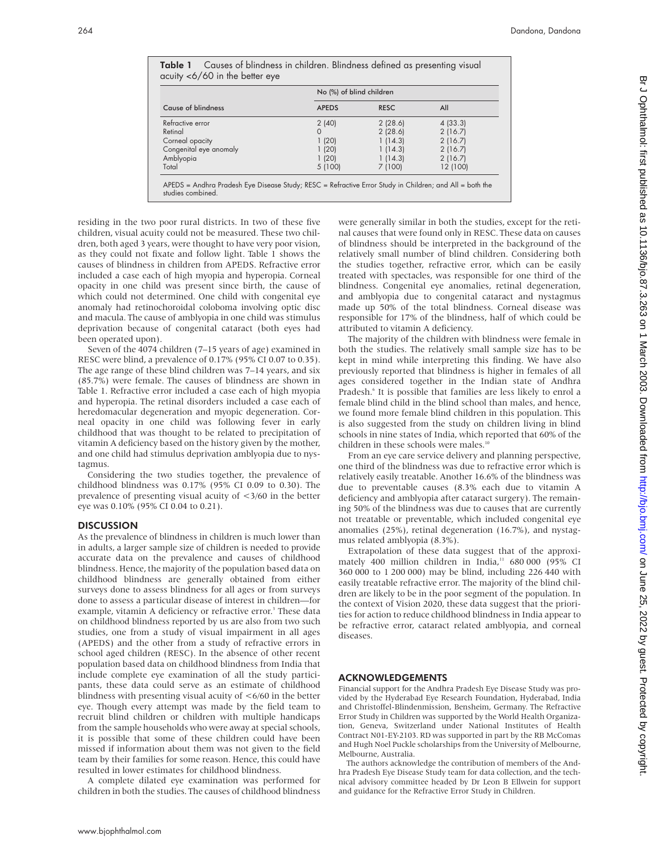| Cause of blindness     | No (%) of blind children |             |          |
|------------------------|--------------------------|-------------|----------|
|                        | <b>APEDS</b>             | <b>RESC</b> | All      |
| Refractive error       | 2(40)                    | 2(28.6)     | 4(33.3)  |
| Retinal                | $\Omega$                 | 2(28.6)     | 2(16.7)  |
| Corneal opacity        | 1(20)                    | 1(14.3)     | 2(16.7)  |
| Congenital eye anomaly | 1(20)                    | 1(14.3)     | 2(16.7)  |
| Amblyopia              | 1(20)                    | 1(14.3)     | 2(16.7)  |
| Total                  | 5 (100)                  | 7 (100)     | 12 (100) |

residing in the two poor rural districts. In two of these five children, visual acuity could not be measured. These two children, both aged 3 years, were thought to have very poor vision, as they could not fixate and follow light. Table 1 shows the causes of blindness in children from APEDS. Refractive error included a case each of high myopia and hyperopia. Corneal opacity in one child was present since birth, the cause of which could not determined. One child with congenital eye anomaly had retinochoroidal coloboma involving optic disc and macula. The cause of amblyopia in one child was stimulus deprivation because of congenital cataract (both eyes had been operated upon).

Seven of the 4074 children (7–15 years of age) examined in RESC were blind, a prevalence of 0.17% (95% CI 0.07 to 0.35). The age range of these blind children was 7–14 years, and six (85.7%) were female. The causes of blindness are shown in Table 1. Refractive error included a case each of high myopia and hyperopia. The retinal disorders included a case each of heredomacular degeneration and myopic degeneration. Corneal opacity in one child was following fever in early childhood that was thought to be related to precipitation of vitamin A deficiency based on the history given by the mother, and one child had stimulus deprivation amblyopia due to nystagmus.

Considering the two studies together, the prevalence of childhood blindness was 0.17% (95% CI 0.09 to 0.30). The prevalence of presenting visual acuity of <3/60 in the better eye was 0.10% (95% CI 0.04 to 0.21).

# **DISCUSSION**

As the prevalence of blindness in children is much lower than in adults, a larger sample size of children is needed to provide accurate data on the prevalence and causes of childhood blindness. Hence, the majority of the population based data on childhood blindness are generally obtained from either surveys done to assess blindness for all ages or from surveys done to assess a particular disease of interest in children—for example, vitamin A deficiency or refractive error.<sup>3</sup> These data on childhood blindness reported by us are also from two such studies, one from a study of visual impairment in all ages (APEDS) and the other from a study of refractive errors in school aged children (RESC). In the absence of other recent population based data on childhood blindness from India that include complete eye examination of all the study participants, these data could serve as an estimate of childhood blindness with presenting visual acuity of  $\lt 6/60$  in the better eye. Though every attempt was made by the field team to recruit blind children or children with multiple handicaps from the sample households who were away at special schools, it is possible that some of these children could have been missed if information about them was not given to the field team by their families for some reason. Hence, this could have resulted in lower estimates for childhood blindness.

A complete dilated eye examination was performed for children in both the studies. The causes of childhood blindness

were generally similar in both the studies, except for the retinal causes that were found only in RESC. These data on causes of blindness should be interpreted in the background of the relatively small number of blind children. Considering both the studies together, refractive error, which can be easily treated with spectacles, was responsible for one third of the blindness. Congenital eye anomalies, retinal degeneration, and amblyopia due to congenital cataract and nystagmus made up 50% of the total blindness. Corneal disease was responsible for 17% of the blindness, half of which could be attributed to vitamin A deficiency.

The majority of the children with blindness were female in both the studies. The relatively small sample size has to be kept in mind while interpreting this finding. We have also previously reported that blindness is higher in females of all ages considered together in the Indian state of Andhra Pradesh.<sup>6</sup> It is possible that families are less likely to enrol a female blind child in the blind school than males, and hence, we found more female blind children in this population. This is also suggested from the study on children living in blind schools in nine states of India, which reported that 60% of the children in these schools were males.<sup>10</sup>

From an eye care service delivery and planning perspective, one third of the blindness was due to refractive error which is relatively easily treatable. Another 16.6% of the blindness was due to preventable causes (8.3% each due to vitamin A deficiency and amblyopia after cataract surgery). The remaining 50% of the blindness was due to causes that are currently not treatable or preventable, which included congenital eye anomalies (25%), retinal degeneration (16.7%), and nystagmus related amblyopia (8.3%).

Extrapolation of these data suggest that of the approximately 400 million children in India,<sup>11</sup> 680 000 (95% CI 360 000 to 1 200 000) may be blind, including 226 440 with easily treatable refractive error. The majority of the blind children are likely to be in the poor segment of the population. In the context of Vision 2020, these data suggest that the priorities for action to reduce childhood blindness in India appear to be refractive error, cataract related amblyopia, and corneal diseases.

# ACKNOWLEDGEMENTS

Financial support for the Andhra Pradesh Eye Disease Study was provided by the Hyderabad Eye Research Foundation, Hyderabad, India and Christoffel-Blindenmission, Bensheim, Germany. The Refractive Error Study in Children was supported by the World Health Organization, Geneva, Switzerland under National Institutes of Health Contract N01-EY-2103. RD was supported in part by the RB McComas and Hugh Noel Puckle scholarships from the University of Melbourne, Melbourne, Australia.

The authors acknowledge the contribution of members of the Andhra Pradesh Eye Disease Study team for data collection, and the technical advisory committee headed by Dr Leon B Ellwein for support and guidance for the Refractive Error Study in Children.